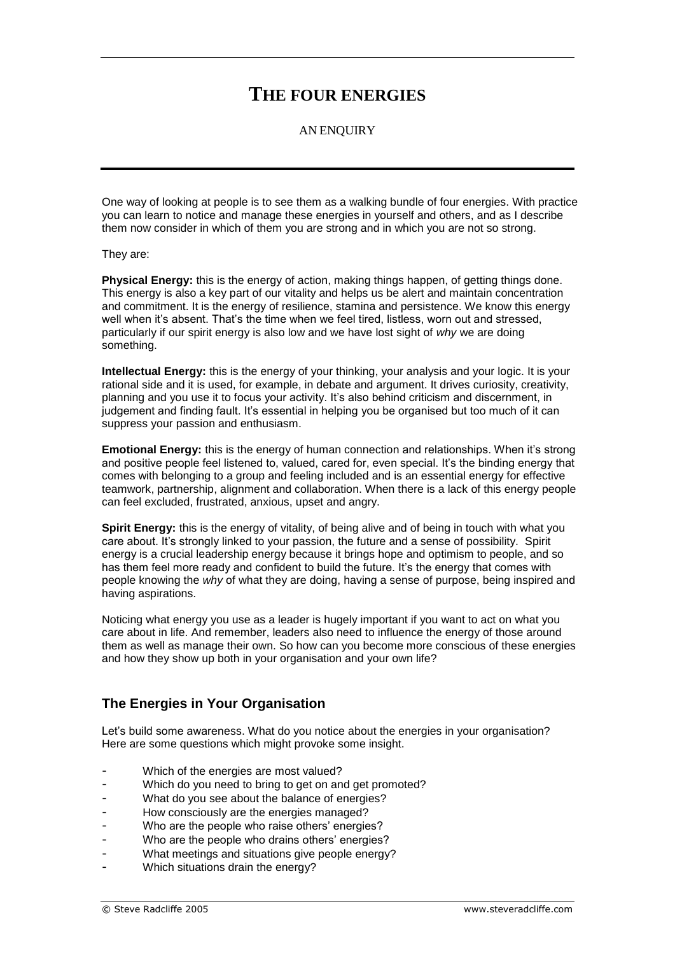# **THE FOUR ENERGIES**

#### AN ENQUIRY

One way of looking at people is to see them as a walking bundle of four energies. With practice you can learn to notice and manage these energies in yourself and others, and as I describe them now consider in which of them you are strong and in which you are not so strong.

They are:

**Physical Energy:** this is the energy of action, making things happen, of getting things done. This energy is also a key part of our vitality and helps us be alert and maintain concentration and commitment. It is the energy of resilience, stamina and persistence. We know this energy well when it's absent. That's the time when we feel tired, listless, worn out and stressed, particularly if our spirit energy is also low and we have lost sight of *why* we are doing something.

**Intellectual Energy:** this is the energy of your thinking, your analysis and your logic. It is your rational side and it is used, for example, in debate and argument. It drives curiosity, creativity, planning and you use it to focus your activity. It's also behind criticism and discernment, in judgement and finding fault. It's essential in helping you be organised but too much of it can suppress your passion and enthusiasm.

**Emotional Energy:** this is the energy of human connection and relationships. When it's strong and positive people feel listened to, valued, cared for, even special. It's the binding energy that comes with belonging to a group and feeling included and is an essential energy for effective teamwork, partnership, alignment and collaboration. When there is a lack of this energy people can feel excluded, frustrated, anxious, upset and angry.

**Spirit Energy:** this is the energy of vitality, of being alive and of being in touch with what you care about. It's strongly linked to your passion, the future and a sense of possibility. Spirit energy is a crucial leadership energy because it brings hope and optimism to people, and so has them feel more ready and confident to build the future. It's the energy that comes with people knowing the *why* of what they are doing, having a sense of purpose, being inspired and having aspirations.

Noticing what energy you use as a leader is hugely important if you want to act on what you care about in life. And remember, leaders also need to influence the energy of those around them as well as manage their own. So how can you become more conscious of these energies and how they show up both in your organisation and your own life?

## **The Energies in Your Organisation**

Let's build some awareness. What do you notice about the energies in your organisation? Here are some questions which might provoke some insight.

- Which of the energies are most valued?
- Which do you need to bring to get on and get promoted?
- What do you see about the balance of energies?
- How consciously are the energies managed?
- Who are the people who raise others' energies?
- Who are the people who drains others' energies?
- What meetings and situations give people energy?
- Which situations drain the energy?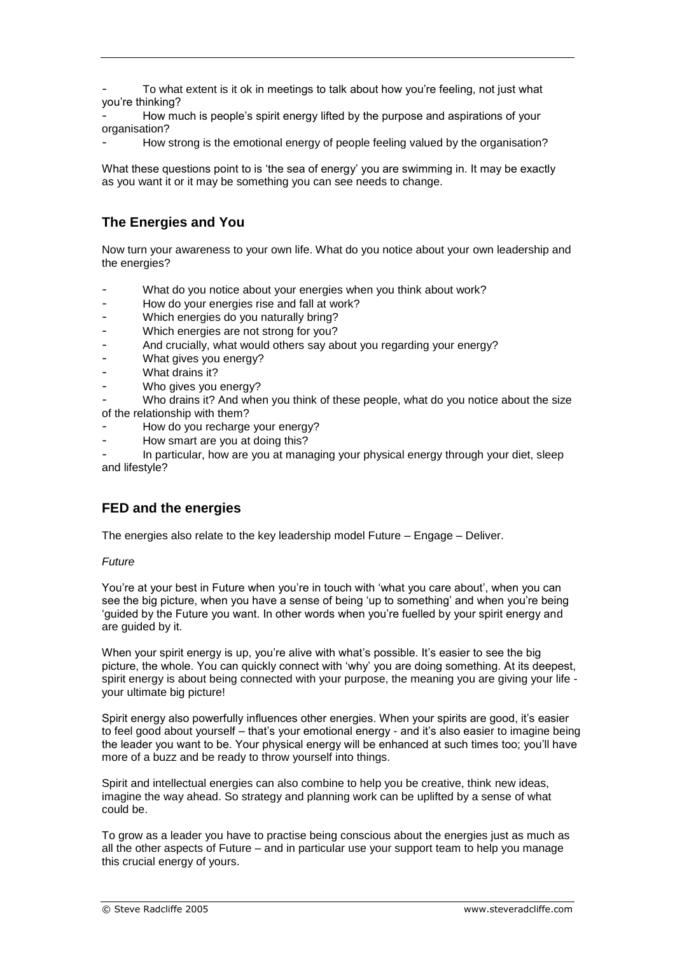To what extent is it ok in meetings to talk about how you're feeling, not just what you're thinking?

How much is people's spirit energy lifted by the purpose and aspirations of your organisation?

How strong is the emotional energy of people feeling valued by the organisation?

What these questions point to is 'the sea of energy' you are swimming in. It may be exactly as you want it or it may be something you can see needs to change.

## **The Energies and You**

Now turn your awareness to your own life. What do you notice about your own leadership and the energies?

- What do you notice about your energies when you think about work?
- How do your energies rise and fall at work?
- Which energies do you naturally bring?
- Which energies are not strong for you?
- And crucially, what would others say about you regarding your energy?
- What gives you energy?
- What drains it?
- Who gives you energy?

Who drains it? And when you think of these people, what do you notice about the size of the relationship with them?

- How do you recharge your energy?
- How smart are you at doing this?

- In particular, how are you at managing your physical energy through your diet, sleep and lifestyle?

### **FED and the energies**

The energies also relate to the key leadership model Future – Engage – Deliver.

#### *Future*

You're at your best in Future when you're in touch with 'what you care about', when you can see the big picture, when you have a sense of being 'up to something' and when you're being 'guided by the Future you want. In other words when you're fuelled by your spirit energy and are guided by it.

When your spirit energy is up, you're alive with what's possible. It's easier to see the big picture, the whole. You can quickly connect with 'why' you are doing something. At its deepest, spirit energy is about being connected with your purpose, the meaning you are giving your life your ultimate big picture!

Spirit energy also powerfully influences other energies. When your spirits are good, it's easier to feel good about yourself – that's your emotional energy - and it's also easier to imagine being the leader you want to be. Your physical energy will be enhanced at such times too; you'll have more of a buzz and be ready to throw yourself into things.

Spirit and intellectual energies can also combine to help you be creative, think new ideas, imagine the way ahead. So strategy and planning work can be uplifted by a sense of what could be.

To grow as a leader you have to practise being conscious about the energies just as much as all the other aspects of Future – and in particular use your support team to help you manage this crucial energy of yours.